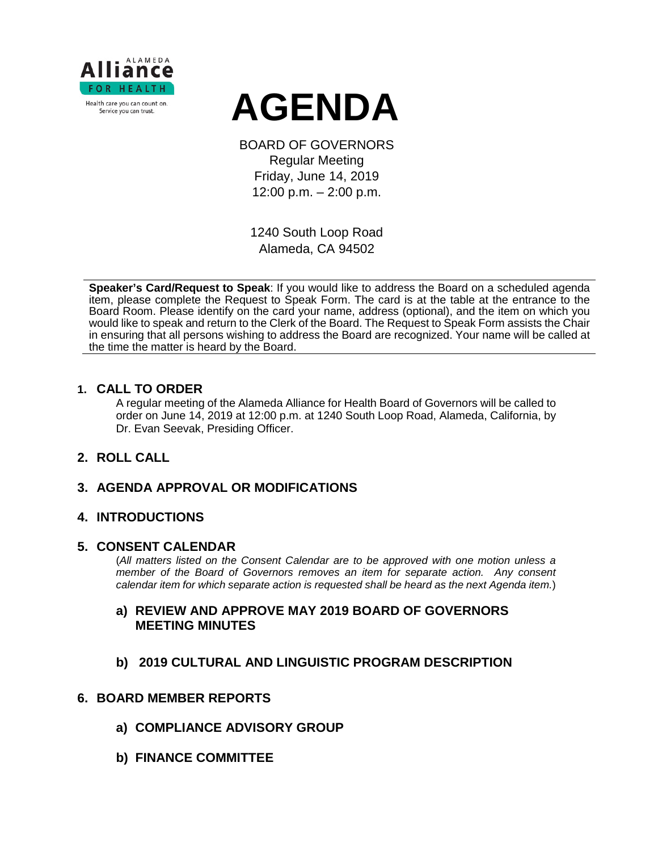

# **AGENDA**

BOARD OF GOVERNORS Regular Meeting Friday, June 14, 2019 12:00 p.m. – 2:00 p.m.

1240 South Loop Road Alameda, CA 94502

**Speaker's Card/Request to Speak**: If you would like to address the Board on a scheduled agenda item, please complete the Request to Speak Form. The card is at the table at the entrance to the Board Room. Please identify on the card your name, address (optional), and the item on which you would like to speak and return to the Clerk of the Board. The Request to Speak Form assists the Chair in ensuring that all persons wishing to address the Board are recognized. Your name will be called at the time the matter is heard by the Board.

#### **1. CALL TO ORDER**

A regular meeting of the Alameda Alliance for Health Board of Governors will be called to order on June 14, 2019 at 12:00 p.m. at 1240 South Loop Road, Alameda, California, by Dr. Evan Seevak, Presiding Officer.

## **2. ROLL CALL**

## **3. AGENDA APPROVAL OR MODIFICATIONS**

## **4. INTRODUCTIONS**

#### **5. CONSENT CALENDAR**

(*All matters listed on the Consent Calendar are to be approved with one motion unless a member of the Board of Governors removes an item for separate action. Any consent calendar item for which separate action is requested shall be heard as the next Agenda item.*)

## **a) REVIEW AND APPROVE MAY 2019 BOARD OF GOVERNORS MEETING MINUTES**

**b) 2019 CULTURAL AND LINGUISTIC PROGRAM DESCRIPTION**

## **6. BOARD MEMBER REPORTS**

- **a) COMPLIANCE ADVISORY GROUP**
- **b) FINANCE COMMITTEE**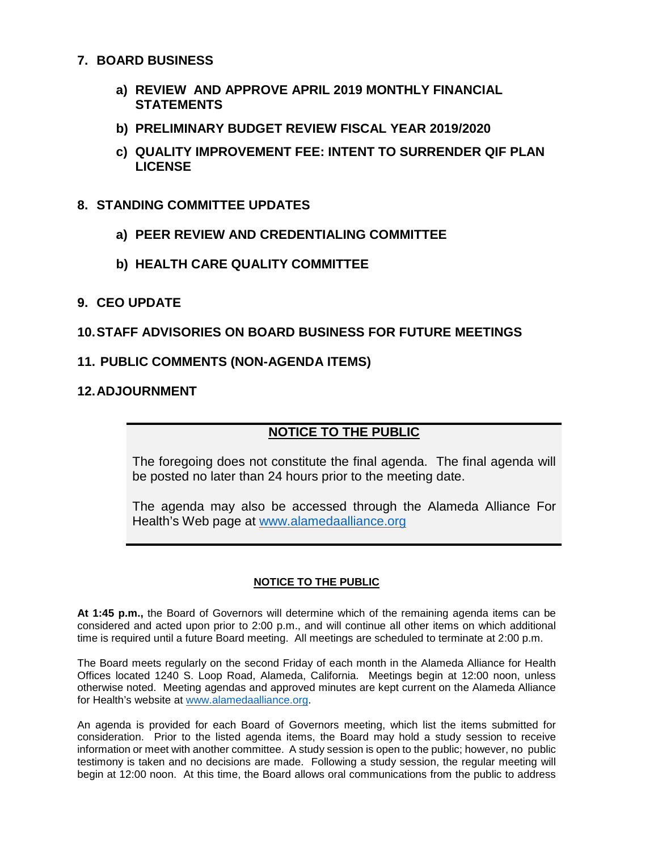#### **7. BOARD BUSINESS**

- **a) REVIEW AND APPROVE APRIL 2019 MONTHLY FINANCIAL STATEMENTS**
- **b) PRELIMINARY BUDGET REVIEW FISCAL YEAR 2019/2020**
- **c) QUALITY IMPROVEMENT FEE: INTENT TO SURRENDER QIF PLAN LICENSE**

#### **8. STANDING COMMITTEE UPDATES**

- **a) PEER REVIEW AND CREDENTIALING COMMITTEE**
- **b) HEALTH CARE QUALITY COMMITTEE**

#### **9. CEO UPDATE**

## **10.STAFF ADVISORIES ON BOARD BUSINESS FOR FUTURE MEETINGS**

#### **11. PUBLIC COMMENTS (NON-AGENDA ITEMS)**

### **12.ADJOURNMENT**

## **NOTICE TO THE PUBLIC**

The foregoing does not constitute the final agenda. The final agenda will be posted no later than 24 hours prior to the meeting date.

The agenda may also be accessed through the Alameda Alliance For Health's Web page at [www.alamedaalliance.org](http://www.alamedaalliance.org/)

#### **NOTICE TO THE PUBLIC**

**At 1:45 p.m.,** the Board of Governors will determine which of the remaining agenda items can be considered and acted upon prior to 2:00 p.m., and will continue all other items on which additional time is required until a future Board meeting. All meetings are scheduled to terminate at 2:00 p.m.

The Board meets regularly on the second Friday of each month in the Alameda Alliance for Health Offices located 1240 S. Loop Road, Alameda, California. Meetings begin at 12:00 noon, unless otherwise noted. Meeting agendas and approved minutes are kept current on the Alameda Alliance for Health's website at [www.alamedaalliance.org.](http://www.alamedaalliance.org/)

An agenda is provided for each Board of Governors meeting, which list the items submitted for consideration. Prior to the listed agenda items, the Board may hold a study session to receive information or meet with another committee. A study session is open to the public; however, no public testimony is taken and no decisions are made. Following a study session, the regular meeting will begin at 12:00 noon. At this time, the Board allows oral communications from the public to address